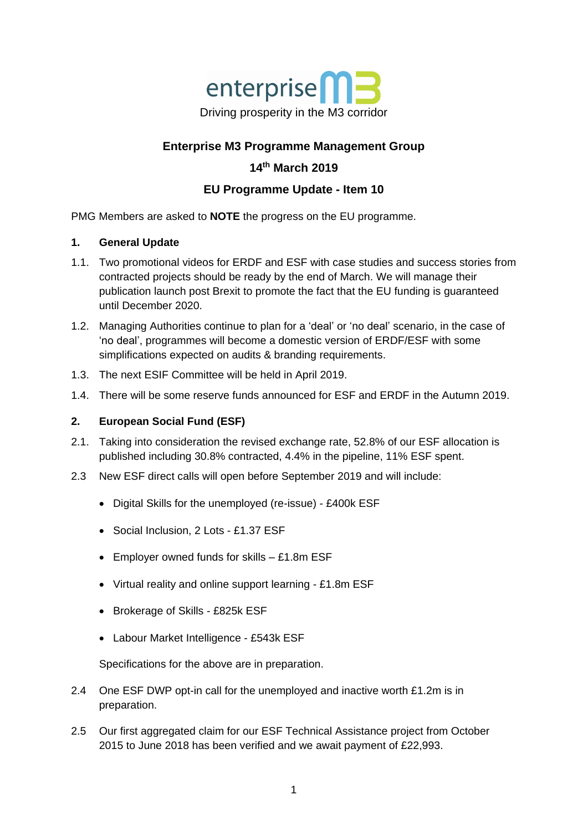

# **Enterprise M3 Programme Management Group**

## **14th March 2019**

## **EU Programme Update - Item 10**

PMG Members are asked to **NOTE** the progress on the EU programme.

#### **1. General Update**

- 1.1. Two promotional videos for ERDF and ESF with case studies and success stories from contracted projects should be ready by the end of March. We will manage their publication launch post Brexit to promote the fact that the EU funding is guaranteed until December 2020.
- 1.2. Managing Authorities continue to plan for a 'deal' or 'no deal' scenario, in the case of 'no deal', programmes will become a domestic version of ERDF/ESF with some simplifications expected on audits & branding requirements.
- 1.3. The next ESIF Committee will be held in April 2019.
- 1.4. There will be some reserve funds announced for ESF and ERDF in the Autumn 2019.

### **2. European Social Fund (ESF)**

- 2.1. Taking into consideration the revised exchange rate, 52.8% of our ESF allocation is published including 30.8% contracted, 4.4% in the pipeline, 11% ESF spent.
- 2.3 New ESF direct calls will open before September 2019 and will include:
	- Digital Skills for the unemployed (re-issue) £400k ESF
	- Social Inclusion, 2 Lots £1.37 ESF
	- Employer owned funds for skills £1.8m ESF
	- Virtual reality and online support learning £1.8m ESF
	- Brokerage of Skills £825k ESF
	- Labour Market Intelligence £543k ESF

Specifications for the above are in preparation.

- 2.4 One ESF DWP opt-in call for the unemployed and inactive worth £1.2m is in preparation.
- 2.5 Our first aggregated claim for our ESF Technical Assistance project from October 2015 to June 2018 has been verified and we await payment of £22,993.